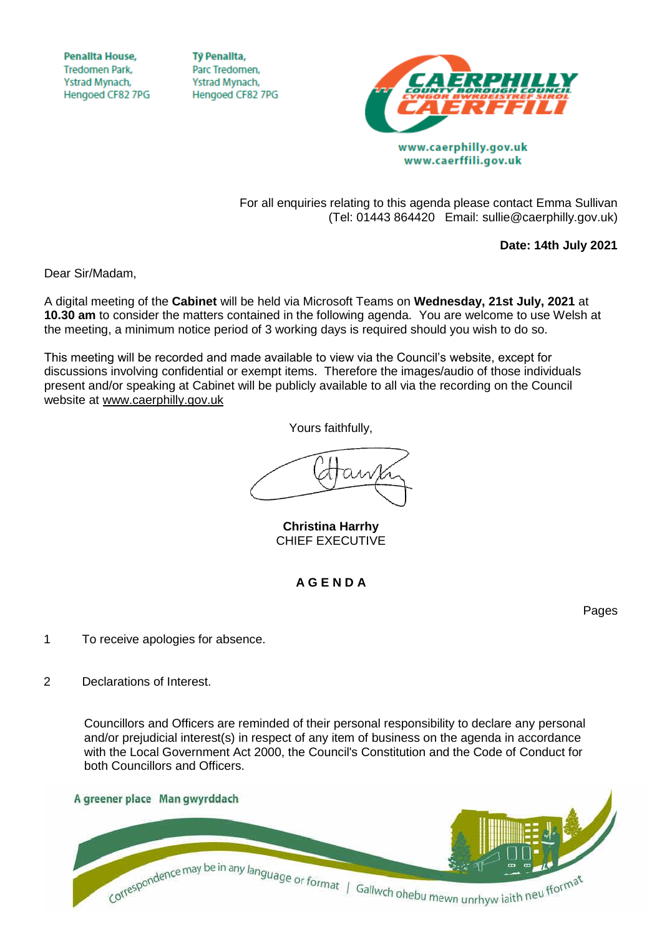**Penallta House, Tredomen Park.** Ystrad Mynach, Hengoed CF82 7PG

**TV Penallta,** Parc Tredomen. Ystrad Mynach, Hengoed CF82 7PG



www.caerphilly.gov.uk www.caerffili.gov.uk

For all enquiries relating to this agenda please contact Emma Sullivan (Tel: 01443 864420 Email: sullie@caerphilly.gov.uk)

**Date: 14th July 2021**

Dear Sir/Madam,

A digital meeting of the **Cabinet** will be held via Microsoft Teams on **Wednesday, 21st July, 2021** at **10.30 am** to consider the matters contained in the following agenda. You are welcome to use Welsh at the meeting, a minimum notice period of 3 working days is required should you wish to do so.

This meeting will be recorded and made available to view via the Council's website, except for discussions involving confidential or exempt items. Therefore the images/audio of those individuals present and/or speaking at Cabinet will be publicly available to all via the recording on the Council website at [www.caerphilly.gov.uk](http://www.caerphilly.gov.uk/)

Yours faithfully,

**Christina Harrhy** CHIEF EXECUTIVE

**A G E N D A**

Pages

- 1 To receive apologies for absence.
- 2 Declarations of Interest.

Councillors and Officers are reminded of their personal responsibility to declare any personal and/or prejudicial interest(s) in respect of any item of business on the agenda in accordance with the Local Government Act 2000, the Council's Constitution and the Code of Conduct for both Councillors and Officers.